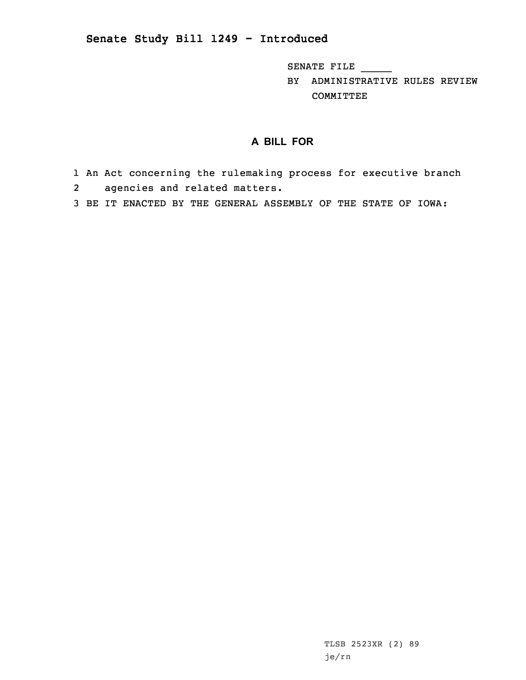## **Senate Study Bill 1249 - Introduced**

SENATE FILE \_\_\_\_\_

BY ADMINISTRATIVE RULES REVIEW COMMITTEE

## **A BILL FOR**

- 1 An Act concerning the rulemaking process for executive branch 2 agencies and related matters.
- 3 BE IT ENACTED BY THE GENERAL ASSEMBLY OF THE STATE OF IOWA: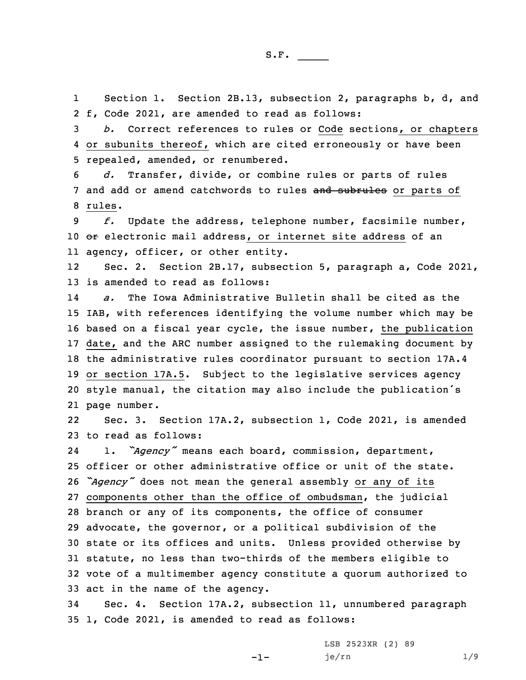1 Section 1. Section 2B.13, subsection 2, paragraphs b, d, and 2 f, Code 2021, are amended to read as follows:

3 *b.* Correct references to rules or Code sections, or chapters 4 or subunits thereof, which are cited erroneously or have been 5 repealed, amended, or renumbered.

6 *d.* Transfer, divide, or combine rules or parts of rules 7 and add or amend catchwords to rules and subrules or parts of 8 rules.

9 *f.* Update the address, telephone number, facsimile number, 10 or electronic mail address, or internet site address of an 11 agency, officer, or other entity.

12 Sec. 2. Section 2B.17, subsection 5, paragraph a, Code 2021, 13 is amended to read as follows:

14 *a.* The Iowa Administrative Bulletin shall be cited as the IAB, with references identifying the volume number which may be based on <sup>a</sup> fiscal year cycle, the issue number, the publication date, and the ARC number assigned to the rulemaking document by the administrative rules coordinator pursuant to section 17A.4 or section 17A.5. Subject to the legislative services agency style manual, the citation may also include the publication's page number.

22 Sec. 3. Section 17A.2, subsection 1, Code 2021, is amended 23 to read as follows:

24 1. *"Agency"* means each board, commission, department, officer or other administrative office or unit of the state. *"Agency"* does not mean the general assembly or any of its components other than the office of ombudsman, the judicial branch or any of its components, the office of consumer advocate, the governor, or <sup>a</sup> political subdivision of the state or its offices and units. Unless provided otherwise by statute, no less than two-thirds of the members eligible to vote of <sup>a</sup> multimember agency constitute <sup>a</sup> quorum authorized to act in the name of the agency.

34 Sec. 4. Section 17A.2, subsection 11, unnumbered paragraph 35 1, Code 2021, is amended to read as follows:

 $-1-$ 

LSB 2523XR (2) 89 je/rn 1/9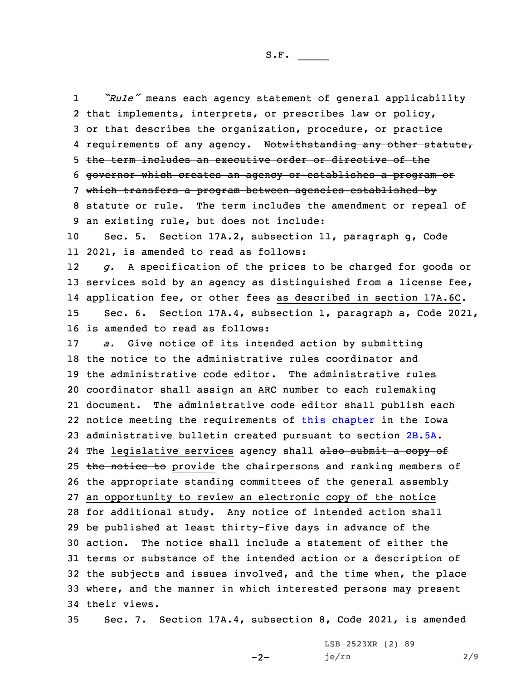1 *"Rule"* means each agency statement of general applicability that implements, interprets, or prescribes law or policy, or that describes the organization, procedure, or practice 4 requirements of any agency. N<del>otwithstanding any other statute,</del> the term includes an executive order or directive of the governor which creates an agency or establishes <sup>a</sup> program or which transfers <sup>a</sup> program between agencies established by 8 statute or rule. The term includes the amendment or repeal of an existing rule, but does not include: Sec. 5. Section 17A.2, subsection 11, paragraph g, Code 2021, is amended to read as follows: 12 *g.* <sup>A</sup> specification of the prices to be charged for goods or 13 services sold by an agency as distinguished from a license fee, application fee, or other fees as described in section 17A.6C. Sec. 6. Section 17A.4, subsection 1, paragraph a, Code 2021, is amended to read as follows: *a.* Give notice of its intended action by submitting the notice to the administrative rules coordinator and the administrative code editor. The administrative rules coordinator shall assign an ARC number to each rulemaking document. The administrative code editor shall publish each notice meeting the requirements of this [chapter](https://www.legis.iowa.gov/docs/code/2021/17A.pdf) in the Iowa administrative bulletin created pursuant to section [2B.5A](https://www.legis.iowa.gov/docs/code/2021/2B.5A.pdf). 24 The legislative services agency shall <del>also submit a copy of</del> 25 the notice to provide the chairpersons and ranking members of the appropriate standing committees of the general assembly an opportunity to review an electronic copy of the notice for additional study. Any notice of intended action shall be published at least thirty-five days in advance of the action. The notice shall include <sup>a</sup> statement of either the terms or substance of the intended action or <sup>a</sup> description of the subjects and issues involved, and the time when, the place where, and the manner in which interested persons may present their views.

35 Sec. 7. Section 17A.4, subsection 8, Code 2021, is amended

 $-2-$ 

LSB 2523XR (2) 89 je/rn 2/9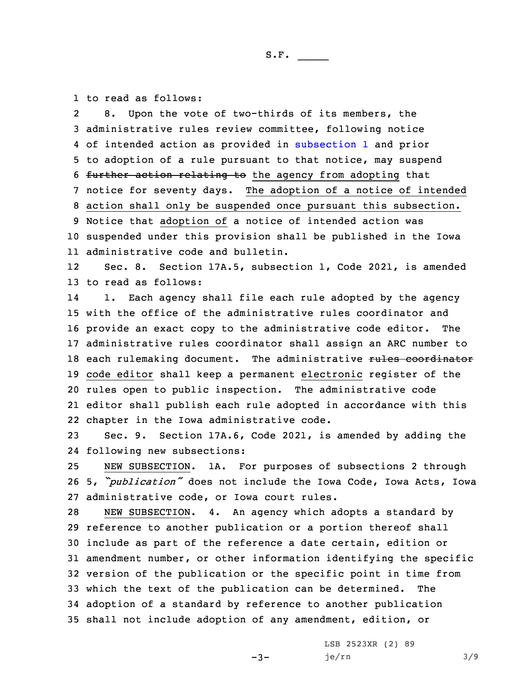1 to read as follows:

2 8. Upon the vote of two-thirds of its members, the administrative rules review committee, following notice of intended action as provided in [subsection](https://www.legis.iowa.gov/docs/code/2021/17A.4.pdf) 1 and prior to adoption of <sup>a</sup> rule pursuant to that notice, may suspend further action relating to the agency from adopting that notice for seventy days. The adoption of <sup>a</sup> notice of intended action shall only be suspended once pursuant this subsection. Notice that adoption of <sup>a</sup> notice of intended action was suspended under this provision shall be published in the Iowa administrative code and bulletin.

12 Sec. 8. Section 17A.5, subsection 1, Code 2021, is amended 13 to read as follows:

14 1. Each agency shall file each rule adopted by the agency with the office of the administrative rules coordinator and provide an exact copy to the administrative code editor. The administrative rules coordinator shall assign an ARC number to 18 each rulemaking document. The administrative rules coordinator code editor shall keep <sup>a</sup> permanent electronic register of the rules open to public inspection. The administrative code editor shall publish each rule adopted in accordance with this chapter in the Iowa administrative code.

23 Sec. 9. Section 17A.6, Code 2021, is amended by adding the 24 following new subsections:

25 NEW SUBSECTION. 1A. For purposes of subsections 2 through <sup>26</sup> 5, *"publication"* does not include the Iowa Code, Iowa Acts, Iowa 27 administrative code, or Iowa court rules.

 NEW SUBSECTION. 4. An agency which adopts <sup>a</sup> standard by reference to another publication or <sup>a</sup> portion thereof shall include as part of the reference <sup>a</sup> date certain, edition or amendment number, or other information identifying the specific version of the publication or the specific point in time from which the text of the publication can be determined. The adoption of <sup>a</sup> standard by reference to another publication shall not include adoption of any amendment, edition, or

 $-3-$ 

LSB 2523XR (2) 89 je/rn 3/9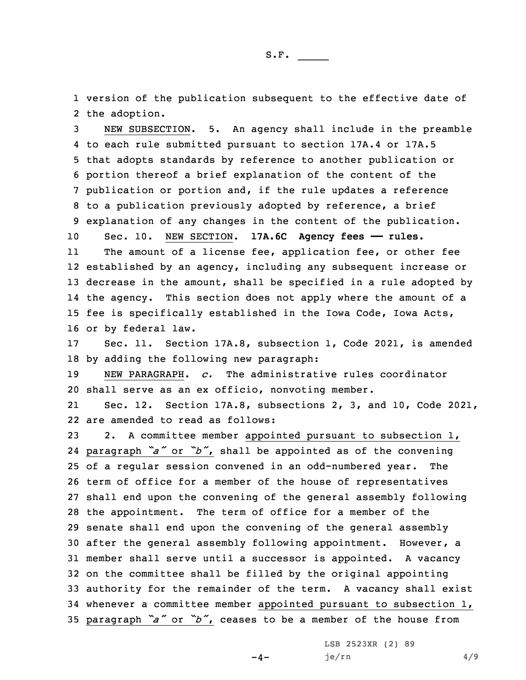1 version of the publication subsequent to the effective date of 2 the adoption.

 NEW SUBSECTION. 5. An agency shall include in the preamble to each rule submitted pursuant to section 17A.4 or 17A.5 that adopts standards by reference to another publication or portion thereof <sup>a</sup> brief explanation of the content of the publication or portion and, if the rule updates <sup>a</sup> reference to <sup>a</sup> publication previously adopted by reference, <sup>a</sup> brief explanation of any changes in the content of the publication. Sec. 10. NEW SECTION. **17A.6C Agency fees —— rules.**

11The amount of a license fee, application fee, or other fee established by an agency, including any subsequent increase or decrease in the amount, shall be specified in <sup>a</sup> rule adopted by the agency. This section does not apply where the amount of <sup>a</sup> fee is specifically established in the Iowa Code, Iowa Acts, or by federal law.

17 Sec. 11. Section 17A.8, subsection 1, Code 2021, is amended 18 by adding the following new paragraph:

19 NEW PARAGRAPH. *c.* The administrative rules coordinator 20 shall serve as an ex officio, nonvoting member.

21 Sec. 12. Section 17A.8, subsections 2, 3, and 10, Code 2021, 22 are amended to read as follows:

 2. <sup>A</sup> committee member appointed pursuant to subsection 1, paragraph *"a"* or *"b"*, shall be appointed as of the convening of <sup>a</sup> regular session convened in an odd-numbered year. The term of office for <sup>a</sup> member of the house of representatives shall end upon the convening of the general assembly following the appointment. The term of office for <sup>a</sup> member of the senate shall end upon the convening of the general assembly after the general assembly following appointment. However, <sup>a</sup> member shall serve until <sup>a</sup> successor is appointed. <sup>A</sup> vacancy on the committee shall be filled by the original appointing authority for the remainder of the term. <sup>A</sup> vacancy shall exist whenever <sup>a</sup> committee member appointed pursuant to subsection 1, paragraph *"a"* or *"b"*, ceases to be <sup>a</sup> member of the house from

 $-4-$ 

LSB 2523XR (2) 89 je/rn 4/9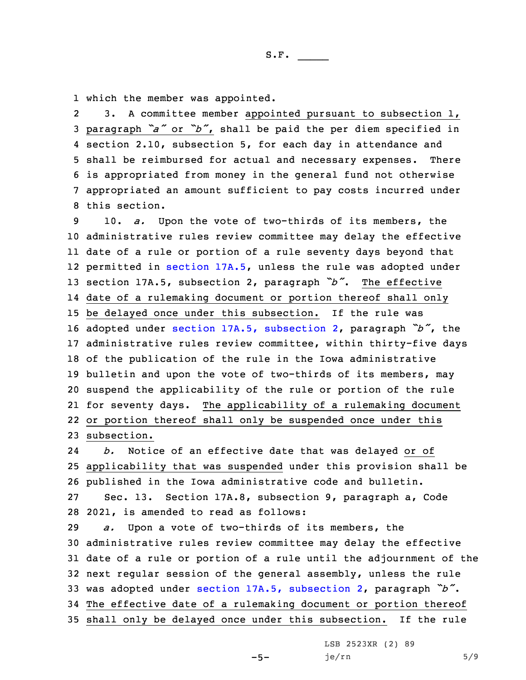1 which the member was appointed.

2 3. <sup>A</sup> committee member appointed pursuant to subsection 1, paragraph *"a"* or *"b"*, shall be paid the per diem specified in section 2.10, subsection 5, for each day in attendance and shall be reimbursed for actual and necessary expenses. There is appropriated from money in the general fund not otherwise appropriated an amount sufficient to pay costs incurred under this section.

 10. *a.* Upon the vote of two-thirds of its members, the administrative rules review committee may delay the effective date of <sup>a</sup> rule or portion of <sup>a</sup> rule seventy days beyond that permitted in [section](https://www.legis.iowa.gov/docs/code/2021/17A.5.pdf) 17A.5, unless the rule was adopted under section 17A.5, subsection 2, paragraph *"b"*. The effective date of <sup>a</sup> rulemaking document or portion thereof shall only be delayed once under this subsection. If the rule was adopted under section 17A.5, [subsection](https://www.legis.iowa.gov/docs/code/2021/17A.5.pdf) 2, paragraph *"b"*, the administrative rules review committee, within thirty-five days of the publication of the rule in the Iowa administrative bulletin and upon the vote of two-thirds of its members, may suspend the applicability of the rule or portion of the rule for seventy days. The applicability of <sup>a</sup> rulemaking document or portion thereof shall only be suspended once under this subsection.

24 *b.* Notice of an effective date that was delayed or of applicability that was suspended under this provision shall be published in the Iowa administrative code and bulletin. Sec. 13. Section 17A.8, subsection 9, paragraph a, Code 2021, is amended to read as follows:

 *a.* Upon <sup>a</sup> vote of two-thirds of its members, the administrative rules review committee may delay the effective date of <sup>a</sup> rule or portion of <sup>a</sup> rule until the adjournment of the next regular session of the general assembly, unless the rule was adopted under section 17A.5, [subsection](https://www.legis.iowa.gov/docs/code/2021/17A.5.pdf) 2, paragraph *"b"*. The effective date of <sup>a</sup> rulemaking document or portion thereof shall only be delayed once under this subsection. If the rule

LSB 2523XR (2) 89

 $je/rn$  5/9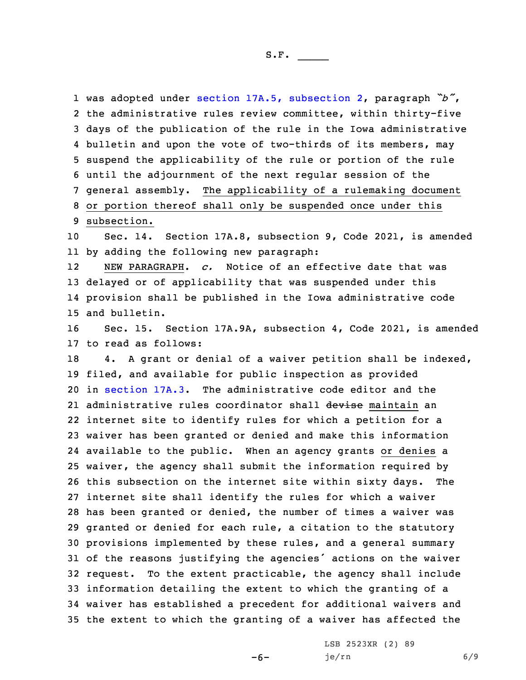was adopted under section 17A.5, [subsection](https://www.legis.iowa.gov/docs/code/2021/17A.5.pdf) 2, paragraph *"b"*, the administrative rules review committee, within thirty-five days of the publication of the rule in the Iowa administrative bulletin and upon the vote of two-thirds of its members, may suspend the applicability of the rule or portion of the rule until the adjournment of the next regular session of the general assembly. The applicability of <sup>a</sup> rulemaking document or portion thereof shall only be suspended once under this subsection.

10 Sec. 14. Section 17A.8, subsection 9, Code 2021, is amended 11 by adding the following new paragraph:

12 NEW PARAGRAPH. *c.* Notice of an effective date that was 13 delayed or of applicability that was suspended under this 14 provision shall be published in the Iowa administrative code 15 and bulletin.

16 Sec. 15. Section 17A.9A, subsection 4, Code 2021, is amended 17 to read as follows:

 4. <sup>A</sup> grant or denial of <sup>a</sup> waiver petition shall be indexed, filed, and available for public inspection as provided in [section](https://www.legis.iowa.gov/docs/code/2021/17A.3.pdf) 17A.3. The administrative code editor and the 21 administrative rules coordinator shall <del>devise</del> maintain an internet site to identify rules for which <sup>a</sup> petition for <sup>a</sup> waiver has been granted or denied and make this information available to the public. When an agency grants or denies <sup>a</sup> waiver, the agency shall submit the information required by this subsection on the internet site within sixty days. The internet site shall identify the rules for which <sup>a</sup> waiver has been granted or denied, the number of times <sup>a</sup> waiver was granted or denied for each rule, <sup>a</sup> citation to the statutory provisions implemented by these rules, and <sup>a</sup> general summary of the reasons justifying the agencies' actions on the waiver request. To the extent practicable, the agency shall include information detailing the extent to which the granting of <sup>a</sup> waiver has established <sup>a</sup> precedent for additional waivers and the extent to which the granting of <sup>a</sup> waiver has affected the

-6-

LSB 2523XR (2) 89 je/rn 6/9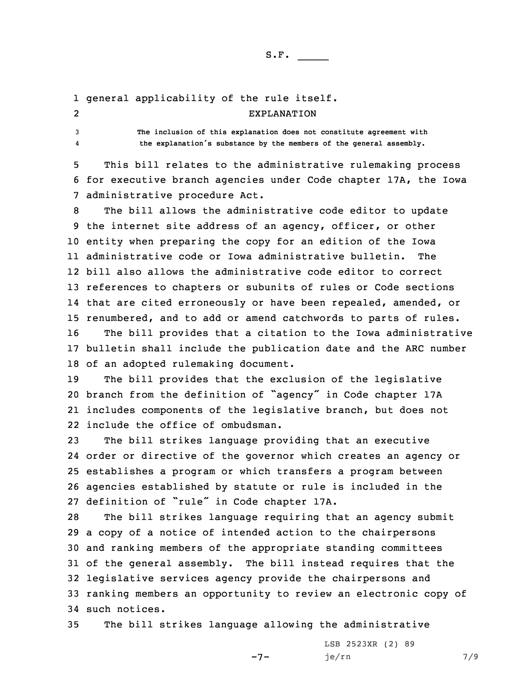## 1 general applicability of the rule itself. 2EXPLANATION

4

3 **The inclusion of this explanation does not constitute agreement with the explanation's substance by the members of the general assembly.**

5 This bill relates to the administrative rulemaking process 6 for executive branch agencies under Code chapter 17A, the Iowa 7 administrative procedure Act.

 The bill allows the administrative code editor to update the internet site address of an agency, officer, or other entity when preparing the copy for an edition of the Iowa administrative code or Iowa administrative bulletin. The bill also allows the administrative code editor to correct references to chapters or subunits of rules or Code sections that are cited erroneously or have been repealed, amended, or renumbered, and to add or amend catchwords to parts of rules. The bill provides that <sup>a</sup> citation to the Iowa administrative bulletin shall include the publication date and the ARC number of an adopted rulemaking document.

 The bill provides that the exclusion of the legislative branch from the definition of "agency" in Code chapter 17A includes components of the legislative branch, but does not include the office of ombudsman.

 The bill strikes language providing that an executive order or directive of the governor which creates an agency or establishes <sup>a</sup> program or which transfers <sup>a</sup> program between agencies established by statute or rule is included in the definition of "rule" in Code chapter 17A.

 The bill strikes language requiring that an agency submit <sup>a</sup> copy of <sup>a</sup> notice of intended action to the chairpersons and ranking members of the appropriate standing committees of the general assembly. The bill instead requires that the legislative services agency provide the chairpersons and ranking members an opportunity to review an electronic copy of such notices.

35 The bill strikes language allowing the administrative

LSB 2523XR (2) 89 je/rn 7/9

-7-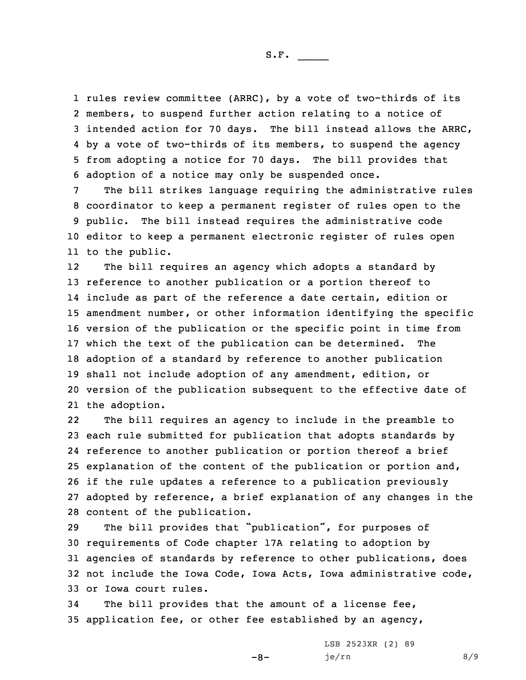S.F.  $\rule{1em}{0.15mm}$ 

 rules review committee (ARRC), by <sup>a</sup> vote of two-thirds of its members, to suspend further action relating to <sup>a</sup> notice of intended action for 70 days. The bill instead allows the ARRC, by <sup>a</sup> vote of two-thirds of its members, to suspend the agency from adopting <sup>a</sup> notice for 70 days. The bill provides that adoption of <sup>a</sup> notice may only be suspended once.

 The bill strikes language requiring the administrative rules coordinator to keep <sup>a</sup> permanent register of rules open to the public. The bill instead requires the administrative code editor to keep <sup>a</sup> permanent electronic register of rules open to the public.

12 The bill requires an agency which adopts <sup>a</sup> standard by reference to another publication or <sup>a</sup> portion thereof to include as part of the reference <sup>a</sup> date certain, edition or amendment number, or other information identifying the specific version of the publication or the specific point in time from which the text of the publication can be determined. The adoption of <sup>a</sup> standard by reference to another publication shall not include adoption of any amendment, edition, or version of the publication subsequent to the effective date of the adoption.

22 The bill requires an agency to include in the preamble to each rule submitted for publication that adopts standards by reference to another publication or portion thereof <sup>a</sup> brief explanation of the content of the publication or portion and, if the rule updates <sup>a</sup> reference to <sup>a</sup> publication previously adopted by reference, <sup>a</sup> brief explanation of any changes in the content of the publication.

 The bill provides that "publication", for purposes of requirements of Code chapter 17A relating to adoption by agencies of standards by reference to other publications, does not include the Iowa Code, Iowa Acts, Iowa administrative code, or Iowa court rules.

-8-

34 The bill provides that the amount of <sup>a</sup> license fee, 35 application fee, or other fee established by an agency,

> LSB 2523XR (2) 89 je/rn 8/9